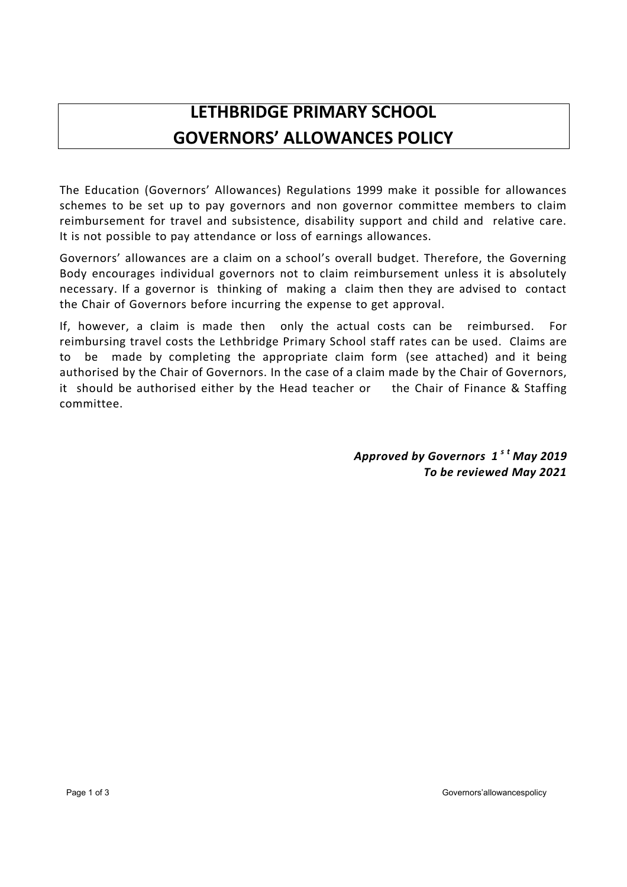## **LETHBRIDGE PRIMARY SCHOOL GOVERNORS' ALLOWANCES POLICY**

The Education (Governors' Allowances) Regulations 1999 make it possible for allowances schemes to be set up to pay governors and non governor committee members to claim reimbursement for travel and subsistence, disability support and child and relative care. It is not possible to pay attendance or loss of earnings allowances.

Governors' allowances are a claim on a school's overall budget. Therefore, the Governing Body encourages individual governors not to claim reimbursement unless it is absolutely necessary. If a governor is thinking of making a claim then they are advised to contact the Chair of Governors before incurring the expense to get approval.

If, however, a claim is made then only the actual costs can be reimbursed. For reimbursing travel costs the Lethbridge Primary School staff rates can be used. Claims are to be made by completing the appropriate claim form (see attached) and it being authorised by the Chair of Governors. In the case of a claim made by the Chair of Governors, it should be authorised either by the Head teacher or the Chair of Finance & Staffing committee.

> *Approved by Governors 1 s t May 2019 To be reviewed May 2021*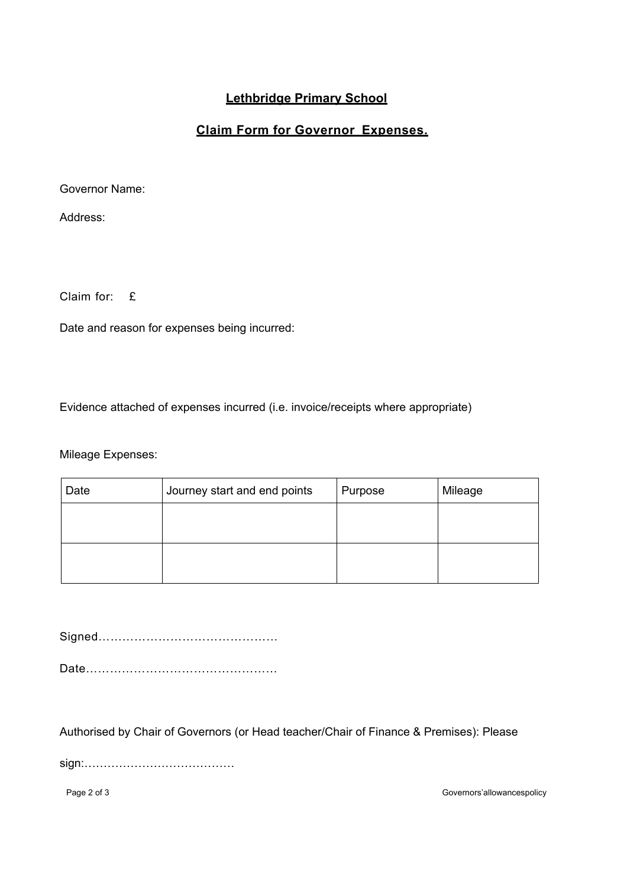## **Lethbridge Primary School**

## **Claim Form for Governor Expenses.**

Governor Name:

Address:

Claim for: £

Date and reason for expenses being incurred:

Evidence attached of expenses incurred (i.e. invoice/receipts where appropriate)

Mileage Expenses:

| Date | Journey start and end points | Purpose | Mileage |
|------|------------------------------|---------|---------|
|      |                              |         |         |
|      |                              |         |         |
|      |                              |         |         |
|      |                              |         |         |

Signed………………………………………

Date…………………………………………

Authorised by Chair of Governors (or Head teacher/Chair of Finance & Premises): Please

sign:…………………………………

Page 2 of 3 Governors' allowances policy